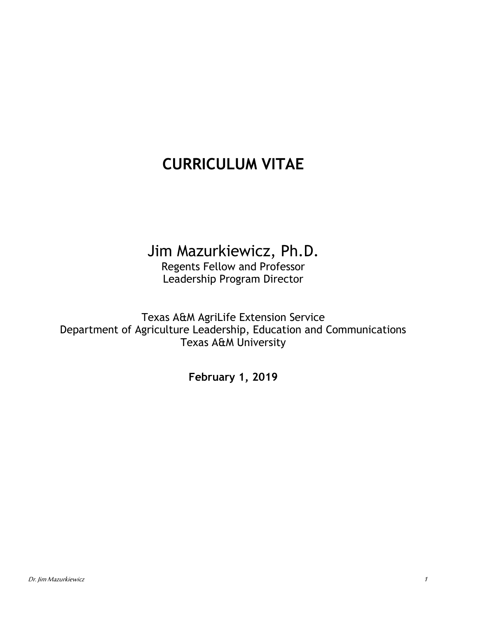# **CURRICULUM VITAE**

## Jim Mazurkiewicz, Ph.D.

Regents Fellow and Professor Leadership Program Director

Texas A&M AgriLife Extension Service Department of Agriculture Leadership, Education and Communications Texas A&M University

**February 1, 2019**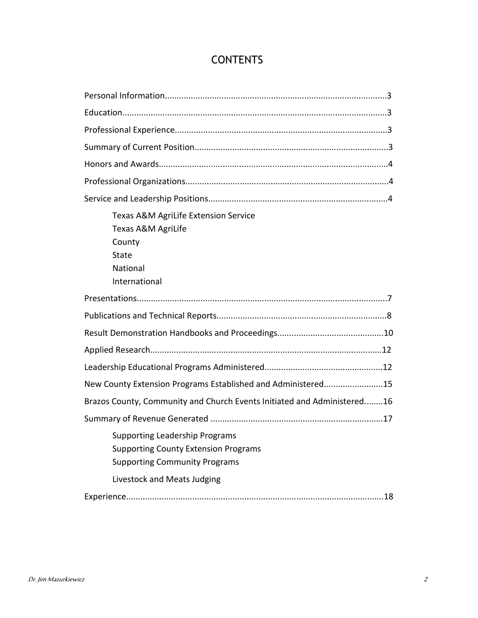## **CONTENTS**

| Texas A&M AgriLife Extension Service<br>Texas A&M AgriLife<br>County<br>State<br>National<br>International                                                  |  |  |
|-------------------------------------------------------------------------------------------------------------------------------------------------------------|--|--|
|                                                                                                                                                             |  |  |
|                                                                                                                                                             |  |  |
|                                                                                                                                                             |  |  |
|                                                                                                                                                             |  |  |
|                                                                                                                                                             |  |  |
| New County Extension Programs Established and Administered15                                                                                                |  |  |
| Brazos County, Community and Church Events Initiated and Administered16                                                                                     |  |  |
|                                                                                                                                                             |  |  |
| <b>Supporting Leadership Programs</b><br><b>Supporting County Extension Programs</b><br><b>Supporting Community Programs</b><br>Livestock and Meats Judging |  |  |
|                                                                                                                                                             |  |  |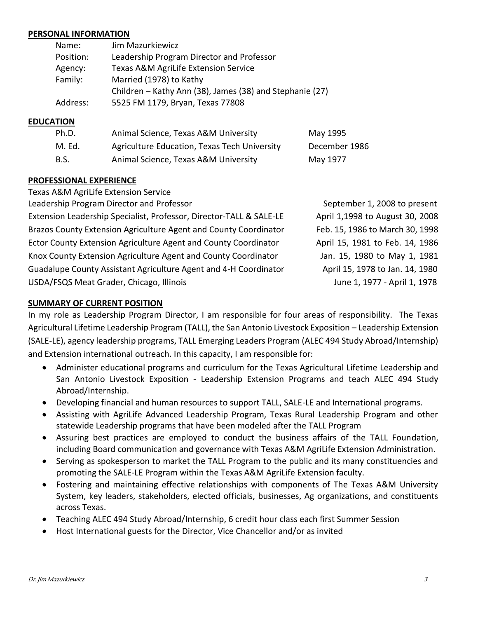#### **PERSONAL INFORMATION**

| Name:     | Jim Mazurkiewicz                                         |
|-----------|----------------------------------------------------------|
| Position: | Leadership Program Director and Professor                |
| Agency:   | Texas A&M AgriLife Extension Service                     |
| Family:   | Married (1978) to Kathy                                  |
|           | Children – Kathy Ann (38), James (38) and Stephanie (27) |
| Address:  | 5525 FM 1179, Bryan, Texas 77808                         |

#### **EDUCATION**

| Ph.D.       | Animal Science, Texas A&M University         | May 1995      |
|-------------|----------------------------------------------|---------------|
| M. Ed.      | Agriculture Education, Texas Tech University | December 1986 |
| <b>B.S.</b> | Animal Science, Texas A&M University         | May 1977      |

#### **PROFESSIONAL EXPERIENCE**

Texas A&M AgriLife Extension Service

Leadership Program Director and Professor September 1, 2008 to present

Extension Leadership Specialist, Professor, Director-TALL & SALE-LE April 1,1998 to August 30, 2008 Brazos County Extension Agriculture Agent and County Coordinator Feb. 15, 1986 to March 30, 1998 Ector County Extension Agriculture Agent and County Coordinator **Ageler 1981** to Feb. 14, 1986 Knox County Extension Agriculture Agent and County Coordinator Jan. 15, 1980 to May 1, 1981 Guadalupe County Assistant Agriculture Agent and 4-H Coordinator April 15, 1978 to Jan. 14, 1980 USDA/FSQS Meat Grader, Chicago, Illinois **June 1, 1977 - April 1, 1978** 

#### **SUMMARY OF CURRENT POSITION**

In my role as Leadership Program Director, I am responsible for four areas of responsibility. The Texas Agricultural Lifetime Leadership Program (TALL), the San Antonio Livestock Exposition – Leadership Extension (SALE-LE), agency leadership programs, TALL Emerging Leaders Program (ALEC 494 Study Abroad/Internship) and Extension international outreach. In this capacity, I am responsible for:

- Administer educational programs and curriculum for the Texas Agricultural Lifetime Leadership and San Antonio Livestock Exposition - Leadership Extension Programs and teach ALEC 494 Study Abroad/Internship.
- Developing financial and human resources to support TALL, SALE-LE and International programs.
- Assisting with AgriLife Advanced Leadership Program, Texas Rural Leadership Program and other statewide Leadership programs that have been modeled after the TALL Program
- Assuring best practices are employed to conduct the business affairs of the TALL Foundation, including Board communication and governance with Texas A&M AgriLife Extension Administration.
- Serving as spokesperson to market the TALL Program to the public and its many constituencies and promoting the SALE-LE Program within the Texas A&M AgriLife Extension faculty.
- Fostering and maintaining effective relationships with components of The Texas A&M University System, key leaders, stakeholders, elected officials, businesses, Ag organizations, and constituents across Texas.
- Teaching ALEC 494 Study Abroad/Internship, 6 credit hour class each first Summer Session
- Host International guests for the Director, Vice Chancellor and/or as invited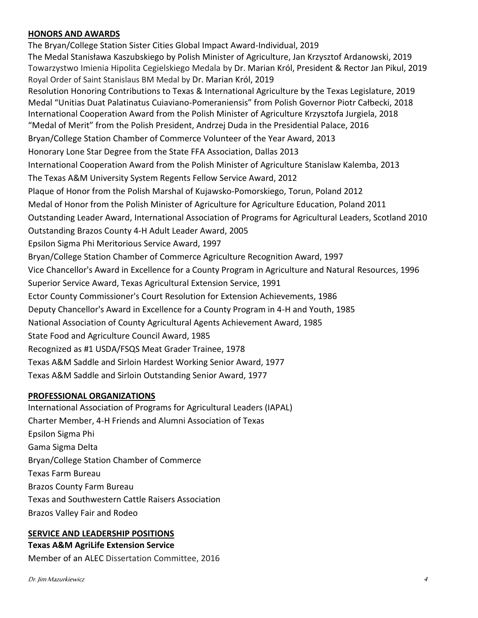## **HONORS AND AWARDS**

The Bryan/College Station Sister Cities Global Impact Award-Individual, 2019 The Medal Stanisława Kaszubskiego by Polish Minister of Agriculture, Jan Krzysztof Ardanowski, 2019 Towarzystwo Imienia Hipolita Cegielskiego Medala by Dr. Marian Król, President & Rector Jan Pikul, 2019 Royal Order of Saint Stanislaus BM Medal by Dr. Marian Król, 2019 Resolution Honoring Contributions to Texas & International Agriculture by the Texas Legislature, 2019 Medal "Unitias Duat Palatinatus Cuiaviano-Pomeraniensis" from Polish Governor Piotr Całbecki, 2018 International Cooperation Award from the Polish Minister of Agriculture Krzysztofa Jurgiela, 2018 "Medal of Merit" from the Polish President, Andrzej Duda in the Presidential Palace, 2016 Bryan/College Station Chamber of Commerce Volunteer of the Year Award, 2013 Honorary Lone Star Degree from the State FFA Association, Dallas 2013 International Cooperation Award from the Polish Minister of Agriculture Stanislaw Kalemba, 2013 The Texas A&M University System Regents Fellow Service Award, 2012 Plaque of Honor from the Polish Marshal of Kujawsko-Pomorskiego, Torun, Poland 2012 Medal of Honor from the Polish Minister of Agriculture for Agriculture Education, Poland 2011 Outstanding Leader Award, International Association of Programs for Agricultural Leaders, Scotland 2010 Outstanding Brazos County 4-H Adult Leader Award, 2005 Epsilon Sigma Phi Meritorious Service Award, 1997 Bryan/College Station Chamber of Commerce Agriculture Recognition Award, 1997 Vice Chancellor's Award in Excellence for a County Program in Agriculture and Natural Resources, 1996 Superior Service Award, Texas Agricultural Extension Service, 1991 Ector County Commissioner's Court Resolution for Extension Achievements, 1986 Deputy Chancellor's Award in Excellence for a County Program in 4-H and Youth, 1985 National Association of County Agricultural Agents Achievement Award, 1985 State Food and Agriculture Council Award, 1985 Recognized as #1 USDA/FSQS Meat Grader Trainee, 1978 Texas A&M Saddle and Sirloin Hardest Working Senior Award, 1977 Texas A&M Saddle and Sirloin Outstanding Senior Award, 1977

#### **PROFESSIONAL ORGANIZATIONS**

International Association of Programs for Agricultural Leaders (IAPAL) Charter Member, 4-H Friends and Alumni Association of Texas Epsilon Sigma Phi Gama Sigma Delta Bryan/College Station Chamber of Commerce Texas Farm Bureau Brazos County Farm Bureau Texas and Southwestern Cattle Raisers Association Brazos Valley Fair and Rodeo

## **SERVICE AND LEADERSHIP POSITIONS**

**Texas A&M AgriLife Extension Service** Member of an ALEC Dissertation Committee, 2016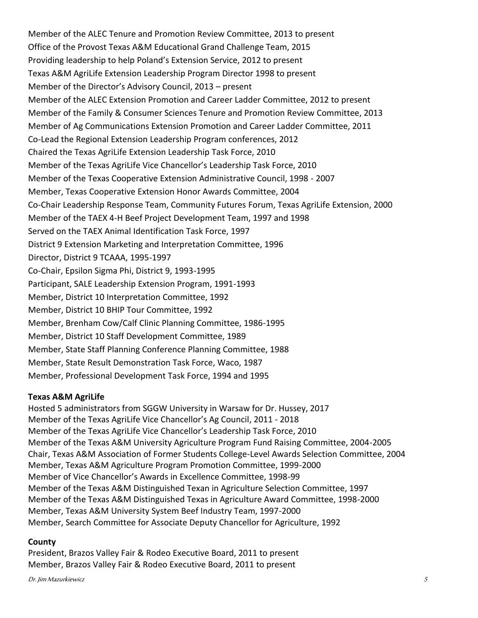Member of the ALEC Tenure and Promotion Review Committee, 2013 to present Office of the Provost Texas A&M Educational Grand Challenge Team, 2015 Providing leadership to help Poland's Extension Service, 2012 to present Texas A&M AgriLife Extension Leadership Program Director 1998 to present Member of the Director's Advisory Council, 2013 – present Member of the ALEC Extension Promotion and Career Ladder Committee, 2012 to present Member of the Family & Consumer Sciences Tenure and Promotion Review Committee, 2013 Member of Ag Communications Extension Promotion and Career Ladder Committee, 2011 Co-Lead the Regional Extension Leadership Program conferences, 2012 Chaired the Texas AgriLife Extension Leadership Task Force, 2010 Member of the Texas AgriLife Vice Chancellor's Leadership Task Force, 2010 Member of the Texas Cooperative Extension Administrative Council, 1998 - 2007 Member, Texas Cooperative Extension Honor Awards Committee, 2004 Co-Chair Leadership Response Team, Community Futures Forum, Texas AgriLife Extension, 2000 Member of the TAEX 4-H Beef Project Development Team, 1997 and 1998 Served on the TAEX Animal Identification Task Force, 1997 District 9 Extension Marketing and Interpretation Committee, 1996 Director, District 9 TCAAA, 1995-1997 Co-Chair, Epsilon Sigma Phi, District 9, 1993-1995 Participant, SALE Leadership Extension Program, 1991-1993 Member, District 10 Interpretation Committee, 1992 Member, District 10 BHIP Tour Committee, 1992 Member, Brenham Cow/Calf Clinic Planning Committee, 1986-1995 Member, District 10 Staff Development Committee, 1989 Member, State Staff Planning Conference Planning Committee, 1988 Member, State Result Demonstration Task Force, Waco, 1987 Member, Professional Development Task Force, 1994 and 1995

## **Texas A&M AgriLife**

Hosted 5 administrators from SGGW University in Warsaw for Dr. Hussey, 2017 Member of the Texas AgriLife Vice Chancellor's Ag Council, 2011 - 2018 Member of the Texas AgriLife Vice Chancellor's Leadership Task Force, 2010 Member of the Texas A&M University Agriculture Program Fund Raising Committee, 2004-2005 Chair, Texas A&M Association of Former Students College-Level Awards Selection Committee, 2004 Member, Texas A&M Agriculture Program Promotion Committee, 1999-2000 Member of Vice Chancellor's Awards in Excellence Committee, 1998-99 Member of the Texas A&M Distinguished Texan in Agriculture Selection Committee, 1997 Member of the Texas A&M Distinguished Texas in Agriculture Award Committee, 1998-2000 Member, Texas A&M University System Beef Industry Team, 1997-2000 Member, Search Committee for Associate Deputy Chancellor for Agriculture, 1992

#### **County**

President, Brazos Valley Fair & Rodeo Executive Board, 2011 to present Member, Brazos Valley Fair & Rodeo Executive Board, 2011 to present

Dr. Jim Mazurkiewicz 5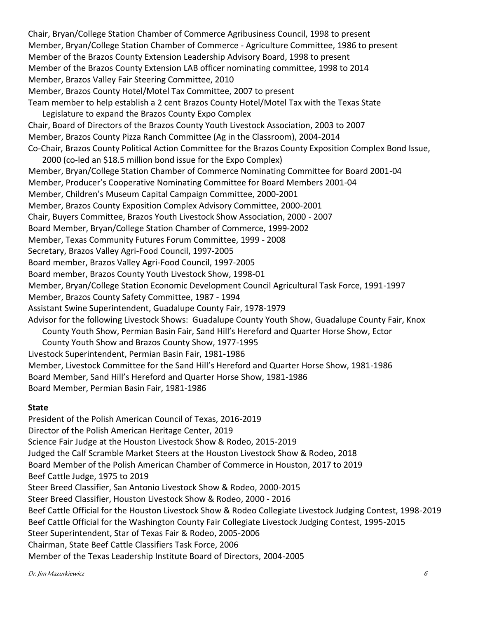Chair, Bryan/College Station Chamber of Commerce Agribusiness Council, 1998 to present Member, Bryan/College Station Chamber of Commerce - Agriculture Committee, 1986 to present Member of the Brazos County Extension Leadership Advisory Board, 1998 to present Member of the Brazos County Extension LAB officer nominating committee, 1998 to 2014 Member, Brazos Valley Fair Steering Committee, 2010 Member, Brazos County Hotel/Motel Tax Committee, 2007 to present Team member to help establish a 2 cent Brazos County Hotel/Motel Tax with the Texas State Legislature to expand the Brazos County Expo Complex Chair, Board of Directors of the Brazos County Youth Livestock Association, 2003 to 2007 Member, Brazos County Pizza Ranch Committee (Ag in the Classroom), 2004-2014 Co-Chair, Brazos County Political Action Committee for the Brazos County Exposition Complex Bond Issue, 2000 (co-led an \$18.5 million bond issue for the Expo Complex) Member, Bryan/College Station Chamber of Commerce Nominating Committee for Board 2001-04 Member, Producer's Cooperative Nominating Committee for Board Members 2001-04 Member, Children's Museum Capital Campaign Committee, 2000-2001 Member, Brazos County Exposition Complex Advisory Committee, 2000-2001 Chair, Buyers Committee, Brazos Youth Livestock Show Association, 2000 - 2007 Board Member, Bryan/College Station Chamber of Commerce, 1999-2002 Member, Texas Community Futures Forum Committee, 1999 - 2008 Secretary, Brazos Valley Agri-Food Council, 1997-2005 Board member, Brazos Valley Agri-Food Council, 1997-2005 Board member, Brazos County Youth Livestock Show, 1998-01 Member, Bryan/College Station Economic Development Council Agricultural Task Force, 1991-1997 Member, Brazos County Safety Committee, 1987 - 1994 Assistant Swine Superintendent, Guadalupe County Fair, 1978-1979 Advisor for the following Livestock Shows: Guadalupe County Youth Show, Guadalupe County Fair, Knox

County Youth Show, Permian Basin Fair, Sand Hill's Hereford and Quarter Horse Show, Ector County Youth Show and Brazos County Show, 1977-1995 Livestock Superintendent, Permian Basin Fair, 1981-1986 Member, Livestock Committee for the Sand Hill's Hereford and Quarter Horse Show, 1981-1986 Board Member, Sand Hill's Hereford and Quarter Horse Show, 1981-1986 Board Member, Permian Basin Fair, 1981-1986

#### **State**

President of the Polish American Council of Texas, 2016-2019 Director of the Polish American Heritage Center, 2019 Science Fair Judge at the Houston Livestock Show & Rodeo, 2015-2019 Judged the Calf Scramble Market Steers at the Houston Livestock Show & Rodeo, 2018 Board Member of the Polish American Chamber of Commerce in Houston, 2017 to 2019 Beef Cattle Judge, 1975 to 2019 Steer Breed Classifier, San Antonio Livestock Show & Rodeo, 2000-2015 Steer Breed Classifier, Houston Livestock Show & Rodeo, 2000 - 2016 Beef Cattle Official for the Houston Livestock Show & Rodeo Collegiate Livestock Judging Contest, 1998-2019 Beef Cattle Official for the Washington County Fair Collegiate Livestock Judging Contest, 1995-2015 Steer Superintendent, Star of Texas Fair & Rodeo, 2005-2006 Chairman, State Beef Cattle Classifiers Task Force, 2006 Member of the Texas Leadership Institute Board of Directors, 2004-2005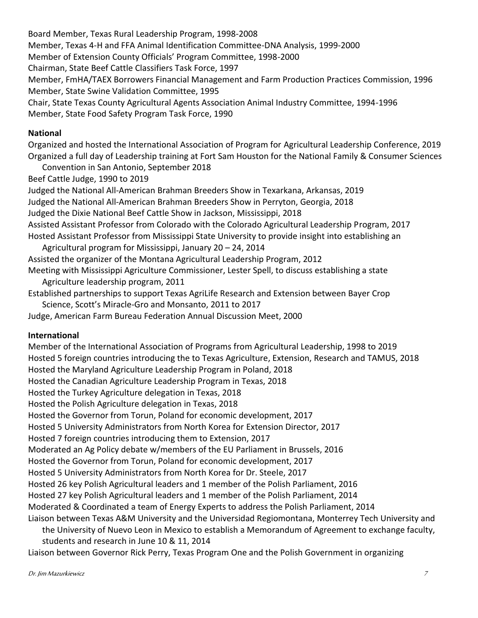Board Member, Texas Rural Leadership Program, 1998-2008 Member, Texas 4-H and FFA Animal Identification Committee-DNA Analysis, 1999-2000 Member of Extension County Officials' Program Committee, 1998-2000 Chairman, State Beef Cattle Classifiers Task Force, 1997 Member, FmHA/TAEX Borrowers Financial Management and Farm Production Practices Commission, 1996 Member, State Swine Validation Committee, 1995 Chair, State Texas County Agricultural Agents Association Animal Industry Committee, 1994-1996 Member, State Food Safety Program Task Force, 1990

## **National**

Organized and hosted the International Association of Program for Agricultural Leadership Conference, 2019 Organized a full day of Leadership training at Fort Sam Houston for the National Family & Consumer Sciences

Convention in San Antonio, September 2018

Beef Cattle Judge, 1990 to 2019

Judged the National All-American Brahman Breeders Show in Texarkana, Arkansas, 2019 Judged the National All-American Brahman Breeders Show in Perryton, Georgia, 2018 Judged the Dixie National Beef Cattle Show in Jackson, Mississippi, 2018 Assisted Assistant Professor from Colorado with the Colorado Agricultural Leadership Program, 2017 Hosted Assistant Professor from Mississippi State University to provide insight into establishing an Agricultural program for Mississippi, January 20 – 24, 2014 Assisted the organizer of the Montana Agricultural Leadership Program, 2012

Meeting with Mississippi Agriculture Commissioner, Lester Spell, to discuss establishing a state Agriculture leadership program, 2011

Established partnerships to support Texas AgriLife Research and Extension between Bayer Crop Science, Scott's Miracle-Gro and Monsanto, 2011 to 2017

Judge, American Farm Bureau Federation Annual Discussion Meet, 2000

## **International**

Member of the International Association of Programs from Agricultural Leadership, 1998 to 2019 Hosted 5 foreign countries introducing the to Texas Agriculture, Extension, Research and TAMUS, 2018 Hosted the Maryland Agriculture Leadership Program in Poland, 2018 Hosted the Canadian Agriculture Leadership Program in Texas, 2018 Hosted the Turkey Agriculture delegation in Texas, 2018 Hosted the Polish Agriculture delegation in Texas, 2018 Hosted the Governor from Torun, Poland for economic development, 2017 Hosted 5 University Administrators from North Korea for Extension Director, 2017 Hosted 7 foreign countries introducing them to Extension, 2017 Moderated an Ag Policy debate w/members of the EU Parliament in Brussels, 2016 Hosted the Governor from Torun, Poland for economic development, 2017 Hosted 5 University Administrators from North Korea for Dr. Steele, 2017 Hosted 26 key Polish Agricultural leaders and 1 member of the Polish Parliament, 2016 Hosted 27 key Polish Agricultural leaders and 1 member of the Polish Parliament, 2014 Moderated & Coordinated a team of Energy Experts to address the Polish Parliament, 2014 Liaison between Texas A&M University and the Universidad Regiomontana, Monterrey Tech University and the University of Nuevo Leon in Mexico to establish a Memorandum of Agreement to exchange faculty, students and research in June 10 & 11, 2014

Liaison between Governor Rick Perry, Texas Program One and the Polish Government in organizing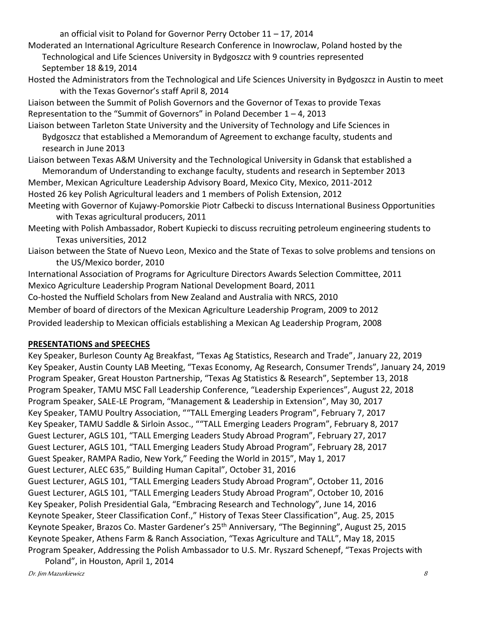an official visit to Poland for Governor Perry October 11 – 17, 2014

Moderated an International Agriculture Research Conference in Inowroclaw, Poland hosted by the Technological and Life Sciences University in Bydgoszcz with 9 countries represented September 18 &19, 2014

Hosted the Administrators from the Technological and Life Sciences University in Bydgoszcz in Austin to meet with the Texas Governor's staff April 8, 2014

Liaison between the Summit of Polish Governors and the Governor of Texas to provide Texas Representation to the "Summit of Governors" in Poland December  $1 - 4$ , 2013

Liaison between Tarleton State University and the University of Technology and Life Sciences in Bydgoszcz that established a Memorandum of Agreement to exchange faculty, students and research in June 2013

Liaison between Texas A&M University and the Technological University in Gdansk that established a Memorandum of Understanding to exchange faculty, students and research in September 2013

Member, Mexican Agriculture Leadership Advisory Board, Mexico City, Mexico, 2011-2012 Hosted 26 key Polish Agricultural leaders and 1 members of Polish Extension, 2012 Meeting with Governor of Kujawy-Pomorskie Piotr Całbecki to discuss International Business Opportunities

with Texas agricultural producers, 2011

Meeting with Polish Ambassador, Robert Kupiecki to discuss recruiting petroleum engineering students to Texas universities, 2012

Liaison between the State of Nuevo Leon, Mexico and the State of Texas to solve problems and tensions on the US/Mexico border, 2010

International Association of Programs for Agriculture Directors Awards Selection Committee, 2011 Mexico Agriculture Leadership Program National Development Board, 2011 Co-hosted the Nuffield Scholars from New Zealand and Australia with NRCS, 2010 Member of board of directors of the Mexican Agriculture Leadership Program, 2009 to 2012

Provided leadership to Mexican officials establishing a Mexican Ag Leadership Program, 2008

## **PRESENTATIONS and SPEECHES**

Key Speaker, Burleson County Ag Breakfast, "Texas Ag Statistics, Research and Trade", January 22, 2019 Key Speaker, Austin County LAB Meeting, "Texas Economy, Ag Research, Consumer Trends", January 24, 2019 Program Speaker, Great Houston Partnership, "Texas Ag Statistics & Research", September 13, 2018 Program Speaker, TAMU MSC Fall Leadership Conference, "Leadership Experiences", August 22, 2018 Program Speaker, SALE-LE Program, "Management & Leadership in Extension", May 30, 2017 Key Speaker, TAMU Poultry Association, ""TALL Emerging Leaders Program", February 7, 2017 Key Speaker, TAMU Saddle & Sirloin Assoc., ""TALL Emerging Leaders Program", February 8, 2017 Guest Lecturer, AGLS 101, "TALL Emerging Leaders Study Abroad Program", February 27, 2017 Guest Lecturer, AGLS 101, "TALL Emerging Leaders Study Abroad Program", February 28, 2017 Guest Speaker, RAMPA Radio, New York," Feeding the World in 2015", May 1, 2017 Guest Lecturer, ALEC 635," Building Human Capital", October 31, 2016 Guest Lecturer, AGLS 101, "TALL Emerging Leaders Study Abroad Program", October 11, 2016 Guest Lecturer, AGLS 101, "TALL Emerging Leaders Study Abroad Program", October 10, 2016 Key Speaker, Polish Presidential Gala, "Embracing Research and Technology", June 14, 2016 Keynote Speaker, Steer Classification Conf.," History of Texas Steer Classification", Aug. 25, 2015 Keynote Speaker, Brazos Co. Master Gardener's 25<sup>th</sup> Anniversary, "The Beginning", August 25, 2015 Keynote Speaker, Athens Farm & Ranch Association, "Texas Agriculture and TALL", May 18, 2015 Program Speaker, Addressing the Polish Ambassador to U.S. Mr. Ryszard Schenepf, "Texas Projects with

Poland", in Houston, April 1, 2014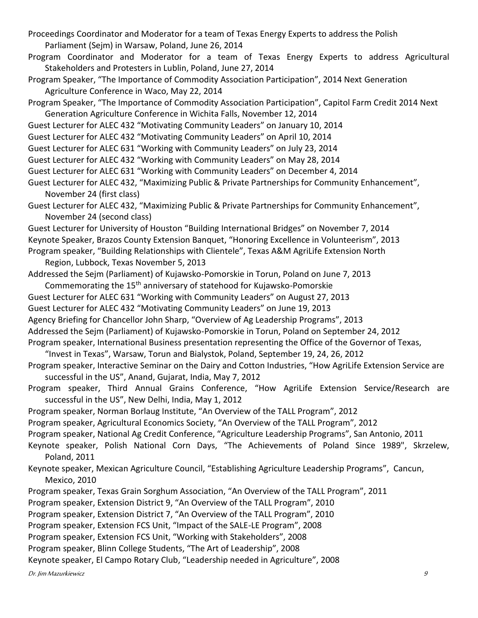Proceedings Coordinator and Moderator for a team of Texas Energy Experts to address the Polish Parliament (Sejm) in Warsaw, Poland, June 26, 2014

Program Coordinator and Moderator for a team of Texas Energy Experts to address Agricultural Stakeholders and Protesters in Lublin, Poland, June 27, 2014

Program Speaker, "The Importance of Commodity Association Participation", 2014 Next Generation Agriculture Conference in Waco, May 22, 2014

Program Speaker, "The Importance of Commodity Association Participation", Capitol Farm Credit 2014 Next Generation Agriculture Conference in Wichita Falls, November 12, 2014

Guest Lecturer for ALEC 432 "Motivating Community Leaders" on January 10, 2014

Guest Lecturer for ALEC 432 "Motivating Community Leaders" on April 10, 2014

Guest Lecturer for ALEC 631 "Working with Community Leaders" on July 23, 2014

Guest Lecturer for ALEC 432 "Working with Community Leaders" on May 28, 2014

Guest Lecturer for ALEC 631 "Working with Community Leaders" on December 4, 2014

Guest Lecturer for ALEC 432, "Maximizing Public & Private Partnerships for Community Enhancement", November 24 (first class)

Guest Lecturer for ALEC 432, "Maximizing Public & Private Partnerships for Community Enhancement", November 24 (second class)

Guest Lecturer for University of Houston "Building International Bridges" on November 7, 2014 Keynote Speaker, Brazos County Extension Banquet, "Honoring Excellence in Volunteerism", 2013 Program speaker, "Building Relationships with Clientele", Texas A&M AgriLife Extension North

Region, Lubbock, Texas November 5, 2013

Addressed the Sejm (Parliament) of Kujawsko-Pomorskie in Torun, Poland on June 7, 2013

Commemorating the 15<sup>th</sup> anniversary of statehood for Kujawsko-Pomorskie

Guest Lecturer for ALEC 631 "Working with Community Leaders" on August 27, 2013

Guest Lecturer for ALEC 432 "Motivating Community Leaders" on June 19, 2013

Agency Briefing for Chancellor John Sharp, "Overview of Ag Leadership Programs", 2013

Addressed the Sejm (Parliament) of Kujawsko-Pomorskie in Torun, Poland on September 24, 2012

Program speaker, International Business presentation representing the Office of the Governor of Texas,

"Invest in Texas", Warsaw, Torun and Bialystok, Poland, September 19, 24, 26, 2012

Program speaker, Interactive Seminar on the Dairy and Cotton Industries, "How AgriLife Extension Service are successful in the US", Anand, Gujarat, India, May 7, 2012

Program speaker, Third Annual Grains Conference, "How AgriLife Extension Service/Research are successful in the US", New Delhi, India, May 1, 2012

Program speaker, Norman Borlaug Institute, "An Overview of the TALL Program", 2012

Program speaker, Agricultural Economics Society, "An Overview of the TALL Program", 2012

Program speaker, National Ag Credit Conference, "Agriculture Leadership Programs", San Antonio, 2011

Keynote speaker, Polish National Corn Days, "The Achievements of Poland Since 1989", Skrzelew, Poland, 2011

Keynote speaker, Mexican Agriculture Council, "Establishing Agriculture Leadership Programs", Cancun, Mexico, 2010

Program speaker, Texas Grain Sorghum Association, "An Overview of the TALL Program", 2011

Program speaker, Extension District 9, "An Overview of the TALL Program", 2010

Program speaker, Extension District 7, "An Overview of the TALL Program", 2010

Program speaker, Extension FCS Unit, "Impact of the SALE-LE Program", 2008

Program speaker, Extension FCS Unit, "Working with Stakeholders", 2008

Program speaker, Blinn College Students, "The Art of Leadership", 2008

Keynote speaker, El Campo Rotary Club, "Leadership needed in Agriculture", 2008

Dr. Jim Mazurkiewicz 9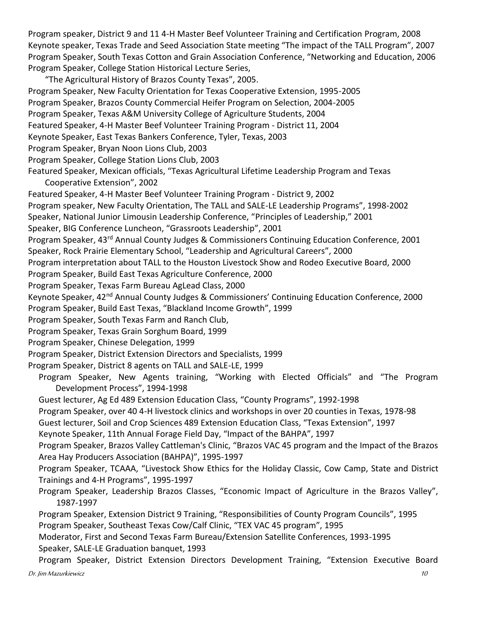Program speaker, District 9 and 11 4-H Master Beef Volunteer Training and Certification Program, 2008 Keynote speaker, Texas Trade and Seed Association State meeting "The impact of the TALL Program", 2007 Program Speaker, South Texas Cotton and Grain Association Conference, "Networking and Education, 2006 Program Speaker, College Station Historical Lecture Series,

"The Agricultural History of Brazos County Texas", 2005. Program Speaker, New Faculty Orientation for Texas Cooperative Extension, 1995-2005 Program Speaker, Brazos County Commercial Heifer Program on Selection, 2004-2005 Program Speaker, Texas A&M University College of Agriculture Students, 2004

Featured Speaker, 4-H Master Beef Volunteer Training Program - District 11, 2004

Keynote Speaker, East Texas Bankers Conference, Tyler, Texas, 2003

Program Speaker, Bryan Noon Lions Club, 2003

Program Speaker, College Station Lions Club, 2003

Featured Speaker, Mexican officials, "Texas Agricultural Lifetime Leadership Program and Texas Cooperative Extension", 2002

Featured Speaker, 4-H Master Beef Volunteer Training Program - District 9, 2002

Program speaker, New Faculty Orientation, The TALL and SALE-LE Leadership Programs", 1998-2002

Speaker, National Junior Limousin Leadership Conference, "Principles of Leadership," 2001

Speaker, BIG Conference Luncheon, "Grassroots Leadership", 2001

Program Speaker, 43rd Annual County Judges & Commissioners Continuing Education Conference, 2001 Speaker, Rock Prairie Elementary School, "Leadership and Agricultural Careers", 2000

Program interpretation about TALL to the Houston Livestock Show and Rodeo Executive Board, 2000

Program Speaker, Build East Texas Agriculture Conference, 2000

Program Speaker, Texas Farm Bureau AgLead Class, 2000

Keynote Speaker, 42<sup>nd</sup> Annual County Judges & Commissioners' Continuing Education Conference, 2000 Program Speaker, Build East Texas, "Blackland Income Growth", 1999

Program Speaker, South Texas Farm and Ranch Club,

Program Speaker, Texas Grain Sorghum Board, 1999

Program Speaker, Chinese Delegation, 1999

Program Speaker, District Extension Directors and Specialists, 1999

Program Speaker, District 8 agents on TALL and SALE-LE, 1999

Program Speaker, New Agents training, "Working with Elected Officials" and "The Program Development Process", 1994-1998

Guest lecturer, Ag Ed 489 Extension Education Class, "County Programs", 1992-1998

Program Speaker, over 40 4-H livestock clinics and workshops in over 20 counties in Texas, 1978-98

Guest lecturer, Soil and Crop Sciences 489 Extension Education Class, "Texas Extension", 1997

Keynote Speaker, 11th Annual Forage Field Day, "Impact of the BAHPA", 1997

Program Speaker, Brazos Valley Cattleman's Clinic, "Brazos VAC 45 program and the Impact of the Brazos Area Hay Producers Association (BAHPA)", 1995-1997

Program Speaker, TCAAA, "Livestock Show Ethics for the Holiday Classic, Cow Camp, State and District Trainings and 4-H Programs", 1995-1997

Program Speaker, Leadership Brazos Classes, "Economic Impact of Agriculture in the Brazos Valley", 1987-1997

Program Speaker, Extension District 9 Training, "Responsibilities of County Program Councils", 1995 Program Speaker, Southeast Texas Cow/Calf Clinic, "TEX VAC 45 program", 1995

Moderator, First and Second Texas Farm Bureau/Extension Satellite Conferences, 1993-1995 Speaker, SALE-LE Graduation banquet, 1993

Dr. Jim Mazurkiewicz 10 Program Speaker, District Extension Directors Development Training, "Extension Executive Board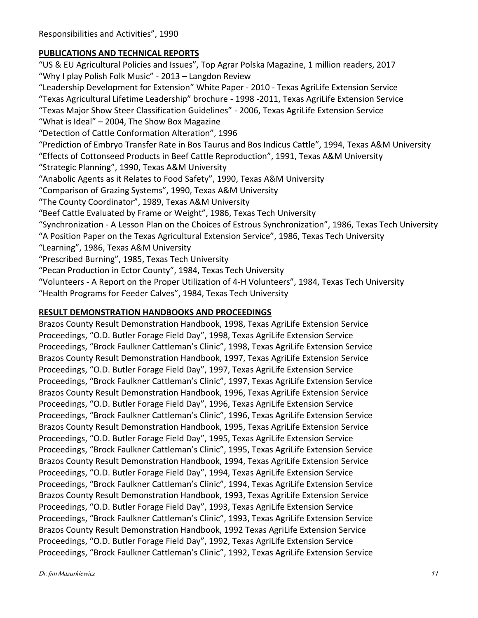## **PUBLICATIONS AND TECHNICAL REPORTS**

"US & EU Agricultural Policies and Issues", Top Agrar Polska Magazine, 1 million readers, 2017 "Why I play Polish Folk Music" - 2013 – Langdon Review "Leadership Development for Extension" White Paper - 2010 - Texas AgriLife Extension Service "Texas Agricultural Lifetime Leadership" brochure - 1998 -2011, Texas AgriLife Extension Service "Texas Major Show Steer Classification Guidelines" - 2006, Texas AgriLife Extension Service "What is Ideal" – 2004, The Show Box Magazine "Detection of Cattle Conformation Alteration", 1996 "Prediction of Embryo Transfer Rate in Bos Taurus and Bos Indicus Cattle", 1994, Texas A&M University "Effects of Cottonseed Products in Beef Cattle Reproduction", 1991, Texas A&M University "Strategic Planning", 1990, Texas A&M University "Anabolic Agents as it Relates to Food Safety", 1990, Texas A&M University "Comparison of Grazing Systems", 1990, Texas A&M University "The County Coordinator", 1989, Texas A&M University "Beef Cattle Evaluated by Frame or Weight", 1986, Texas Tech University "Synchronization - A Lesson Plan on the Choices of Estrous Synchronization", 1986, Texas Tech University "A Position Paper on the Texas Agricultural Extension Service", 1986, Texas Tech University "Learning", 1986, Texas A&M University "Prescribed Burning", 1985, Texas Tech University "Pecan Production in Ector County", 1984, Texas Tech University "Volunteers - A Report on the Proper Utilization of 4-H Volunteers", 1984, Texas Tech University "Health Programs for Feeder Calves", 1984, Texas Tech University

## **RESULT DEMONSTRATION HANDBOOKS AND PROCEEDINGS**

Brazos County Result Demonstration Handbook, 1998, Texas AgriLife Extension Service Proceedings, "O.D. Butler Forage Field Day", 1998, Texas AgriLife Extension Service Proceedings, "Brock Faulkner Cattleman's Clinic", 1998, Texas AgriLife Extension Service Brazos County Result Demonstration Handbook, 1997, Texas AgriLife Extension Service Proceedings, "O.D. Butler Forage Field Day", 1997, Texas AgriLife Extension Service Proceedings, "Brock Faulkner Cattleman's Clinic", 1997, Texas AgriLife Extension Service Brazos County Result Demonstration Handbook, 1996, Texas AgriLife Extension Service Proceedings, "O.D. Butler Forage Field Day", 1996, Texas AgriLife Extension Service Proceedings, "Brock Faulkner Cattleman's Clinic", 1996, Texas AgriLife Extension Service Brazos County Result Demonstration Handbook, 1995, Texas AgriLife Extension Service Proceedings, "O.D. Butler Forage Field Day", 1995, Texas AgriLife Extension Service Proceedings, "Brock Faulkner Cattleman's Clinic", 1995, Texas AgriLife Extension Service Brazos County Result Demonstration Handbook, 1994, Texas AgriLife Extension Service Proceedings, "O.D. Butler Forage Field Day", 1994, Texas AgriLife Extension Service Proceedings, "Brock Faulkner Cattleman's Clinic", 1994, Texas AgriLife Extension Service Brazos County Result Demonstration Handbook, 1993, Texas AgriLife Extension Service Proceedings, "O.D. Butler Forage Field Day", 1993, Texas AgriLife Extension Service Proceedings, "Brock Faulkner Cattleman's Clinic", 1993, Texas AgriLife Extension Service Brazos County Result Demonstration Handbook, 1992 Texas AgriLife Extension Service Proceedings, "O.D. Butler Forage Field Day", 1992, Texas AgriLife Extension Service Proceedings, "Brock Faulkner Cattleman's Clinic", 1992, Texas AgriLife Extension Service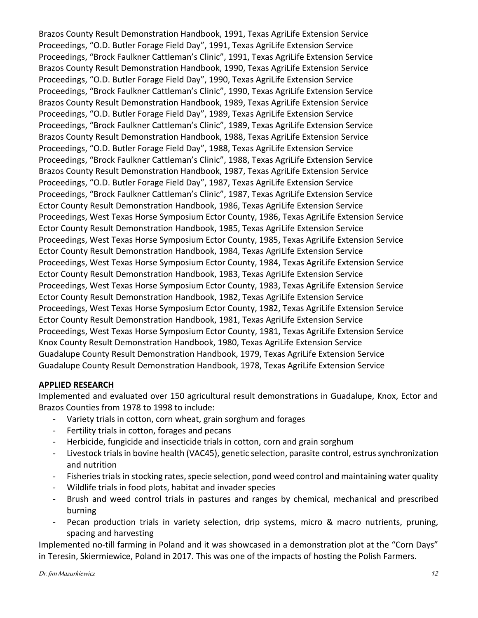Brazos County Result Demonstration Handbook, 1991, Texas AgriLife Extension Service Proceedings, "O.D. Butler Forage Field Day", 1991, Texas AgriLife Extension Service Proceedings, "Brock Faulkner Cattleman's Clinic", 1991, Texas AgriLife Extension Service Brazos County Result Demonstration Handbook, 1990, Texas AgriLife Extension Service Proceedings, "O.D. Butler Forage Field Day", 1990, Texas AgriLife Extension Service Proceedings, "Brock Faulkner Cattleman's Clinic", 1990, Texas AgriLife Extension Service Brazos County Result Demonstration Handbook, 1989, Texas AgriLife Extension Service Proceedings, "O.D. Butler Forage Field Day", 1989, Texas AgriLife Extension Service Proceedings, "Brock Faulkner Cattleman's Clinic", 1989, Texas AgriLife Extension Service Brazos County Result Demonstration Handbook, 1988, Texas AgriLife Extension Service Proceedings, "O.D. Butler Forage Field Day", 1988, Texas AgriLife Extension Service Proceedings, "Brock Faulkner Cattleman's Clinic", 1988, Texas AgriLife Extension Service Brazos County Result Demonstration Handbook, 1987, Texas AgriLife Extension Service Proceedings, "O.D. Butler Forage Field Day", 1987, Texas AgriLife Extension Service Proceedings, "Brock Faulkner Cattleman's Clinic", 1987, Texas AgriLife Extension Service Ector County Result Demonstration Handbook, 1986, Texas AgriLife Extension Service Proceedings, West Texas Horse Symposium Ector County, 1986, Texas AgriLife Extension Service Ector County Result Demonstration Handbook, 1985, Texas AgriLife Extension Service Proceedings, West Texas Horse Symposium Ector County, 1985, Texas AgriLife Extension Service Ector County Result Demonstration Handbook, 1984, Texas AgriLife Extension Service Proceedings, West Texas Horse Symposium Ector County, 1984, Texas AgriLife Extension Service Ector County Result Demonstration Handbook, 1983, Texas AgriLife Extension Service Proceedings, West Texas Horse Symposium Ector County, 1983, Texas AgriLife Extension Service Ector County Result Demonstration Handbook, 1982, Texas AgriLife Extension Service Proceedings, West Texas Horse Symposium Ector County, 1982, Texas AgriLife Extension Service Ector County Result Demonstration Handbook, 1981, Texas AgriLife Extension Service Proceedings, West Texas Horse Symposium Ector County, 1981, Texas AgriLife Extension Service Knox County Result Demonstration Handbook, 1980, Texas AgriLife Extension Service Guadalupe County Result Demonstration Handbook, 1979, Texas AgriLife Extension Service Guadalupe County Result Demonstration Handbook, 1978, Texas AgriLife Extension Service

#### **APPLIED RESEARCH**

Implemented and evaluated over 150 agricultural result demonstrations in Guadalupe, Knox, Ector and Brazos Counties from 1978 to 1998 to include:

- Variety trials in cotton, corn wheat, grain sorghum and forages
- Fertility trials in cotton, forages and pecans
- Herbicide, fungicide and insecticide trials in cotton, corn and grain sorghum
- Livestock trials in bovine health (VAC45), genetic selection, parasite control, estrus synchronization and nutrition
- Fisheries trials in stocking rates, specie selection, pond weed control and maintaining water quality
- Wildlife trials in food plots, habitat and invader species
- Brush and weed control trials in pastures and ranges by chemical, mechanical and prescribed burning
- Pecan production trials in variety selection, drip systems, micro & macro nutrients, pruning, spacing and harvesting

Implemented no-till farming in Poland and it was showcased in a demonstration plot at the "Corn Days" in Teresin, Skiermiewice, Poland in 2017. This was one of the impacts of hosting the Polish Farmers.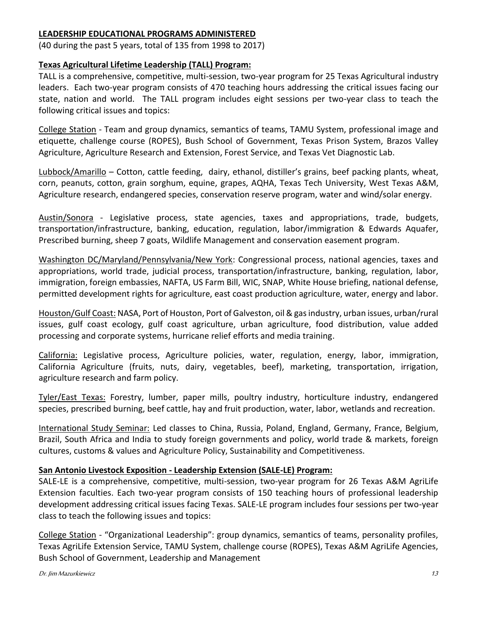#### **LEADERSHIP EDUCATIONAL PROGRAMS ADMINISTERED**

(40 during the past 5 years, total of 135 from 1998 to 2017)

#### **Texas Agricultural Lifetime Leadership (TALL) Program:**

TALL is a comprehensive, competitive, multi-session, two-year program for 25 Texas Agricultural industry leaders. Each two-year program consists of 470 teaching hours addressing the critical issues facing our state, nation and world. The TALL program includes eight sessions per two-year class to teach the following critical issues and topics:

College Station - Team and group dynamics, semantics of teams, TAMU System, professional image and etiquette, challenge course (ROPES), Bush School of Government, Texas Prison System, Brazos Valley Agriculture, Agriculture Research and Extension, Forest Service, and Texas Vet Diagnostic Lab.

Lubbock/Amarillo – Cotton, cattle feeding, dairy, ethanol, distiller's grains, beef packing plants, wheat, corn, peanuts, cotton, grain sorghum, equine, grapes, AQHA, Texas Tech University, West Texas A&M, Agriculture research, endangered species, conservation reserve program, water and wind/solar energy.

Austin/Sonora - Legislative process, state agencies, taxes and appropriations, trade, budgets, transportation/infrastructure, banking, education, regulation, labor/immigration & Edwards Aquafer, Prescribed burning, sheep 7 goats, Wildlife Management and conservation easement program.

Washington DC/Maryland/Pennsylvania/New York: Congressional process, national agencies, taxes and appropriations, world trade, judicial process, transportation/infrastructure, banking, regulation, labor, immigration, foreign embassies, NAFTA, US Farm Bill, WIC, SNAP, White House briefing, national defense, permitted development rights for agriculture, east coast production agriculture, water, energy and labor.

Houston/Gulf Coast: NASA, Port of Houston, Port of Galveston, oil & gas industry, urban issues, urban/rural issues, gulf coast ecology, gulf coast agriculture, urban agriculture, food distribution, value added processing and corporate systems, hurricane relief efforts and media training.

California: Legislative process, Agriculture policies, water, regulation, energy, labor, immigration, California Agriculture (fruits, nuts, dairy, vegetables, beef), marketing, transportation, irrigation, agriculture research and farm policy.

Tyler/East Texas: Forestry, lumber, paper mills, poultry industry, horticulture industry, endangered species, prescribed burning, beef cattle, hay and fruit production, water, labor, wetlands and recreation.

International Study Seminar: Led classes to China, Russia, Poland, England, Germany, France, Belgium, Brazil, South Africa and India to study foreign governments and policy, world trade & markets, foreign cultures, customs & values and Agriculture Policy, Sustainability and Competitiveness.

#### **San Antonio Livestock Exposition - Leadership Extension (SALE-LE) Program:**

SALE-LE is a comprehensive, competitive, multi-session, two-year program for 26 Texas A&M AgriLife Extension faculties. Each two-year program consists of 150 teaching hours of professional leadership development addressing critical issues facing Texas. SALE-LE program includes four sessions per two-year class to teach the following issues and topics:

College Station - "Organizational Leadership": group dynamics, semantics of teams, personality profiles, Texas AgriLife Extension Service, TAMU System, challenge course (ROPES), Texas A&M AgriLife Agencies, Bush School of Government, Leadership and Management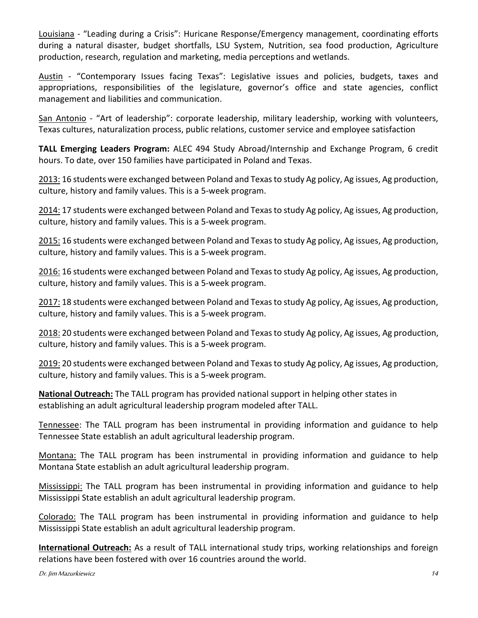Louisiana - "Leading during a Crisis": Huricane Response/Emergency management, coordinating efforts during a natural disaster, budget shortfalls, LSU System, Nutrition, sea food production, Agriculture production, research, regulation and marketing, media perceptions and wetlands.

Austin - "Contemporary Issues facing Texas": Legislative issues and policies, budgets, taxes and appropriations, responsibilities of the legislature, governor's office and state agencies, conflict management and liabilities and communication.

San Antonio - "Art of leadership": corporate leadership, military leadership, working with volunteers, Texas cultures, naturalization process, public relations, customer service and employee satisfaction

**TALL Emerging Leaders Program:** ALEC 494 Study Abroad/Internship and Exchange Program, 6 credit hours. To date, over 150 families have participated in Poland and Texas.

2013: 16 students were exchanged between Poland and Texas to study Ag policy, Ag issues, Ag production, culture, history and family values. This is a 5-week program.

2014: 17 students were exchanged between Poland and Texas to study Ag policy, Ag issues, Ag production, culture, history and family values. This is a 5-week program.

2015: 16 students were exchanged between Poland and Texas to study Ag policy, Ag issues, Ag production, culture, history and family values. This is a 5-week program.

2016: 16 students were exchanged between Poland and Texas to study Ag policy, Ag issues, Ag production, culture, history and family values. This is a 5-week program.

2017: 18 students were exchanged between Poland and Texas to study Ag policy, Ag issues, Ag production, culture, history and family values. This is a 5-week program.

2018: 20 students were exchanged between Poland and Texas to study Ag policy, Ag issues, Ag production, culture, history and family values. This is a 5-week program.

2019: 20 students were exchanged between Poland and Texas to study Ag policy, Ag issues, Ag production, culture, history and family values. This is a 5-week program.

**National Outreach:** The TALL program has provided national support in helping other states in establishing an adult agricultural leadership program modeled after TALL.

Tennessee: The TALL program has been instrumental in providing information and guidance to help Tennessee State establish an adult agricultural leadership program.

Montana: The TALL program has been instrumental in providing information and guidance to help Montana State establish an adult agricultural leadership program.

Mississippi: The TALL program has been instrumental in providing information and guidance to help Mississippi State establish an adult agricultural leadership program.

Colorado: The TALL program has been instrumental in providing information and guidance to help Mississippi State establish an adult agricultural leadership program.

**International Outreach:** As a result of TALL international study trips, working relationships and foreign relations have been fostered with over 16 countries around the world.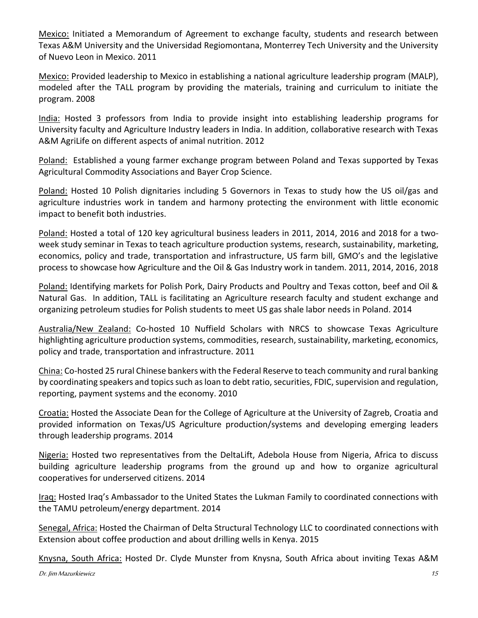Mexico: Initiated a Memorandum of Agreement to exchange faculty, students and research between Texas A&M University and the Universidad Regiomontana, Monterrey Tech University and the University of Nuevo Leon in Mexico. 2011

Mexico: Provided leadership to Mexico in establishing a national agriculture leadership program (MALP), modeled after the TALL program by providing the materials, training and curriculum to initiate the program. 2008

India: Hosted 3 professors from India to provide insight into establishing leadership programs for University faculty and Agriculture Industry leaders in India. In addition, collaborative research with Texas A&M AgriLife on different aspects of animal nutrition. 2012

Poland: Established a young farmer exchange program between Poland and Texas supported by Texas Agricultural Commodity Associations and Bayer Crop Science.

Poland: Hosted 10 Polish dignitaries including 5 Governors in Texas to study how the US oil/gas and agriculture industries work in tandem and harmony protecting the environment with little economic impact to benefit both industries.

Poland: Hosted a total of 120 key agricultural business leaders in 2011, 2014, 2016 and 2018 for a twoweek study seminar in Texas to teach agriculture production systems, research, sustainability, marketing, economics, policy and trade, transportation and infrastructure, US farm bill, GMO's and the legislative process to showcase how Agriculture and the Oil & Gas Industry work in tandem. 2011, 2014, 2016, 2018

Poland: Identifying markets for Polish Pork, Dairy Products and Poultry and Texas cotton, beef and Oil & Natural Gas. In addition, TALL is facilitating an Agriculture research faculty and student exchange and organizing petroleum studies for Polish students to meet US gas shale labor needs in Poland. 2014

Australia/New Zealand: Co-hosted 10 Nuffield Scholars with NRCS to showcase Texas Agriculture highlighting agriculture production systems, commodities, research, sustainability, marketing, economics, policy and trade, transportation and infrastructure. 2011

China: Co-hosted 25 rural Chinese bankers with the Federal Reserve to teach community and rural banking by coordinating speakers and topics such as loan to debt ratio, securities, FDIC, supervision and regulation, reporting, payment systems and the economy. 2010

Croatia: Hosted the Associate Dean for the College of Agriculture at the University of Zagreb, Croatia and provided information on Texas/US Agriculture production/systems and developing emerging leaders through leadership programs. 2014

Nigeria: Hosted two representatives from the DeltaLift, Adebola House from Nigeria, Africa to discuss building agriculture leadership programs from the ground up and how to organize agricultural cooperatives for underserved citizens. 2014

Iraq: Hosted Iraq's Ambassador to the United States the Lukman Family to coordinated connections with the TAMU petroleum/energy department. 2014

Senegal, Africa: Hosted the Chairman of Delta Structural Technology LLC to coordinated connections with Extension about coffee production and about drilling wells in Kenya. 2015

Knysna, South Africa: Hosted Dr. Clyde Munster from Knysna, South Africa about inviting Texas A&M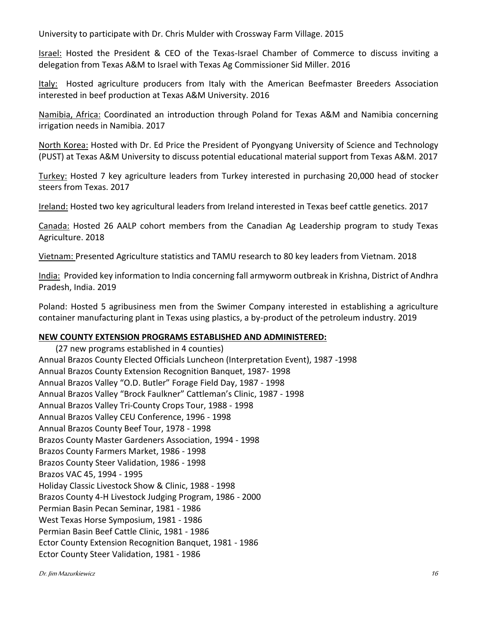University to participate with Dr. Chris Mulder with Crossway Farm Village. 2015

Israel: Hosted the President & CEO of the Texas-Israel Chamber of Commerce to discuss inviting a delegation from Texas A&M to Israel with Texas Ag Commissioner Sid Miller. 2016

Italy: Hosted agriculture producers from Italy with the American Beefmaster Breeders Association interested in beef production at Texas A&M University. 2016

Namibia, Africa: Coordinated an introduction through Poland for Texas A&M and Namibia concerning irrigation needs in Namibia. 2017

North Korea: Hosted with Dr. Ed Price the President of Pyongyang University of Science and Technology (PUST) at Texas A&M University to discuss potential educational material support from Texas A&M. 2017

Turkey: Hosted 7 key agriculture leaders from Turkey interested in purchasing 20,000 head of stocker steers from Texas. 2017

Ireland: Hosted two key agricultural leaders from Ireland interested in Texas beef cattle genetics. 2017

Canada: Hosted 26 AALP cohort members from the Canadian Ag Leadership program to study Texas Agriculture. 2018

Vietnam: Presented Agriculture statistics and TAMU research to 80 key leaders from Vietnam. 2018

India: Provided key information to India concerning fall armyworm outbreak in Krishna, District of Andhra Pradesh, India. 2019

Poland: Hosted 5 agribusiness men from the Swimer Company interested in establishing a agriculture container manufacturing plant in Texas using plastics, a by-product of the petroleum industry. 2019

## **NEW COUNTY EXTENSION PROGRAMS ESTABLISHED AND ADMINISTERED:**

(27 new programs established in 4 counties) Annual Brazos County Elected Officials Luncheon (Interpretation Event), 1987 -1998 Annual Brazos County Extension Recognition Banquet, 1987- 1998 Annual Brazos Valley "O.D. Butler" Forage Field Day, 1987 - 1998 Annual Brazos Valley "Brock Faulkner" Cattleman's Clinic, 1987 - 1998 Annual Brazos Valley Tri-County Crops Tour, 1988 - 1998 Annual Brazos Valley CEU Conference, 1996 - 1998 Annual Brazos County Beef Tour, 1978 - 1998 Brazos County Master Gardeners Association, 1994 - 1998 Brazos County Farmers Market, 1986 - 1998 Brazos County Steer Validation, 1986 - 1998 Brazos VAC 45, 1994 - 1995 Holiday Classic Livestock Show & Clinic, 1988 - 1998 Brazos County 4-H Livestock Judging Program, 1986 - 2000 Permian Basin Pecan Seminar, 1981 - 1986 West Texas Horse Symposium, 1981 - 1986 Permian Basin Beef Cattle Clinic, 1981 - 1986 Ector County Extension Recognition Banquet, 1981 - 1986 Ector County Steer Validation, 1981 - 1986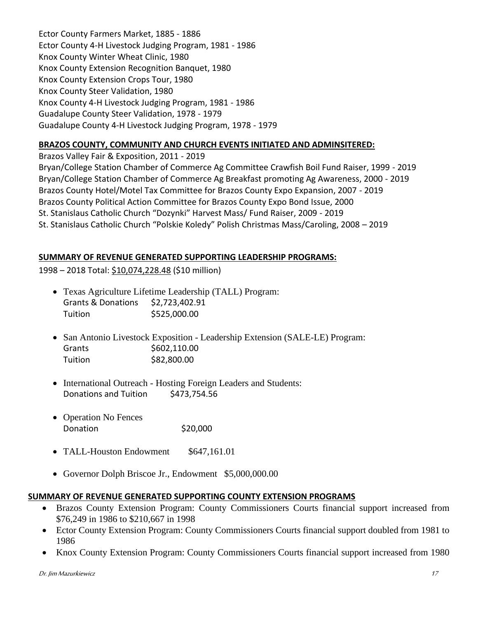Ector County Farmers Market, 1885 - 1886 Ector County 4-H Livestock Judging Program, 1981 - 1986 Knox County Winter Wheat Clinic, 1980 Knox County Extension Recognition Banquet, 1980 Knox County Extension Crops Tour, 1980 Knox County Steer Validation, 1980 Knox County 4-H Livestock Judging Program, 1981 - 1986 Guadalupe County Steer Validation, 1978 - 1979 Guadalupe County 4-H Livestock Judging Program, 1978 - 1979

## **BRAZOS COUNTY, COMMUNITY AND CHURCH EVENTS INITIATED AND ADMINSITERED:**

Brazos Valley Fair & Exposition, 2011 - 2019 Bryan/College Station Chamber of Commerce Ag Committee Crawfish Boil Fund Raiser, 1999 - 2019 Bryan/College Station Chamber of Commerce Ag Breakfast promoting Ag Awareness, 2000 - 2019 Brazos County Hotel/Motel Tax Committee for Brazos County Expo Expansion, 2007 - 2019 Brazos County Political Action Committee for Brazos County Expo Bond Issue, 2000 St. Stanislaus Catholic Church "Dozynki" Harvest Mass/ Fund Raiser, 2009 - 2019 St. Stanislaus Catholic Church "Polskie Koledy" Polish Christmas Mass/Caroling, 2008 – 2019

## **SUMMARY OF REVENUE GENERATED SUPPORTING LEADERSHIP PROGRAMS:**

1998 – 2018 Total: \$10,074,228.48 (\$10 million)

- Texas Agriculture Lifetime Leadership (TALL) Program: Grants & Donations \$2,723,402.91 Tuition \$525,000.00
- San Antonio Livestock Exposition Leadership Extension (SALE-LE) Program: Grants \$602,110.00 Tuition \$82,800.00
- International Outreach Hosting Foreign Leaders and Students: Donations and Tuition \$473,754.56
- Operation No Fences Donation \$20,000
- TALL-Houston Endowment \$647,161.01
- Governor Dolph Briscoe Jr., Endowment \$5,000,000.00

## **SUMMARY OF REVENUE GENERATED SUPPORTING COUNTY EXTENSION PROGRAMS**

- Brazos County Extension Program: County Commissioners Courts financial support increased from \$76,249 in 1986 to \$210,667 in 1998
- Ector County Extension Program: County Commissioners Courts financial support doubled from 1981 to 1986
- Knox County Extension Program: County Commissioners Courts financial support increased from 1980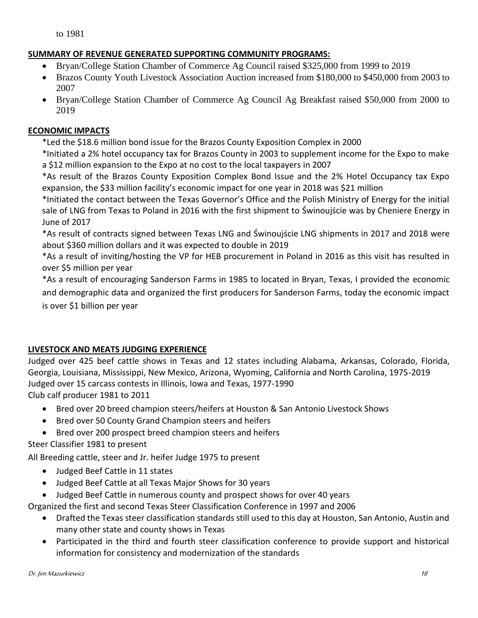## **SUMMARY OF REVENUE GENERATED SUPPORTING COMMUNITY PROGRAMS:**

- Bryan/College Station Chamber of Commerce Ag Council raised \$325,000 from 1999 to 2019
- Brazos County Youth Livestock Association Auction increased from \$180,000 to \$450,000 from 2003 to 2007
- Bryan/College Station Chamber of Commerce Ag Council Ag Breakfast raised \$50,000 from 2000 to 2019

#### **ECONOMIC IMPACTS**

\*Led the \$18.6 million bond issue for the Brazos County Exposition Complex in 2000

\*Initiated a 2% hotel occupancy tax for Brazos County in 2003 to supplement income for the Expo to make a \$12 million expansion to the Expo at no cost to the local taxpayers in 2007

\*As result of the Brazos County Exposition Complex Bond Issue and the 2% Hotel Occupancy tax Expo expansion, the \$33 million facility's economic impact for one year in 2018 was \$21 million

\*Initiated the contact between the Texas Governor's Office and the Polish Ministry of Energy for the initial sale of LNG from Texas to Poland in 2016 with the first shipment to Świnoujście was by Cheniere Energy in June of 2017

\*As result of contracts signed between Texas LNG and Świnoujście LNG shipments in 2017 and 2018 were about \$360 million dollars and it was expected to double in 2019

\*As a result of inviting/hosting the VP for HEB procurement in Poland in 2016 as this visit has resulted in over \$5 million per year

\*As a result of encouraging Sanderson Farms in 1985 to located in Bryan, Texas, I provided the economic and demographic data and organized the first producers for Sanderson Farms, today the economic impact is over \$1 billion per year

## **LIVESTOCK AND MEATS JUDGING EXPERIENCE**

Judged over 425 beef cattle shows in Texas and 12 states including Alabama, Arkansas, Colorado, Florida, Georgia, Louisiana, Mississippi, New Mexico, Arizona, Wyoming, California and North Carolina, 1975-2019 Judged over 15 carcass contests in Illinois, Iowa and Texas, 1977-1990 Club calf producer 1981 to 2011

- Bred over 20 breed champion steers/heifers at Houston & San Antonio Livestock Shows
- Bred over 50 County Grand Champion steers and heifers
- Bred over 200 prospect breed champion steers and heifers

Steer Classifier 1981 to present

All Breeding cattle, steer and Jr. heifer Judge 1975 to present

- Judged Beef Cattle in 11 states
- Judged Beef Cattle at all Texas Major Shows for 30 years
- Judged Beef Cattle in numerous county and prospect shows for over 40 years

Organized the first and second Texas Steer Classification Conference in 1997 and 2006

- Drafted the Texas steer classification standards still used to this day at Houston, San Antonio, Austin and many other state and county shows in Texas
- Participated in the third and fourth steer classification conference to provide support and historical information for consistency and modernization of the standards